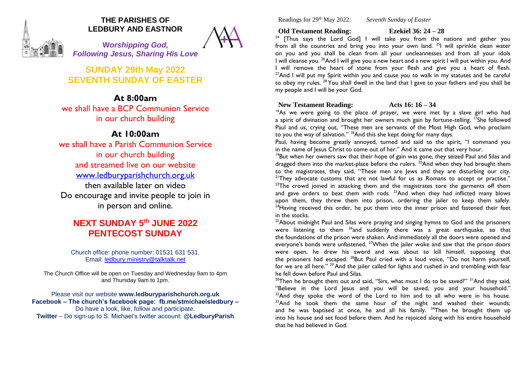

## **THE PARISHES OF LEDBURY AND EASTNOR**

**W***orshipping God, Following Jesus, Sharing His Love*

**SUNDAY 29th May 2022 SEVENTH SUNDAY OF EASTER** 

**At 8:00am** we shall have a BCP Communion Service in our church building

# **At 10:00am**

we shall have a Parish Communion Service in our church building and streamed live on our website [www.ledburyparishchurch.org.uk](http://www.ledburyparishchurch.org.uk/) then available later on video Do encourage and invite people to join in in person and online.

# **NEXT SUNDAY 5 th JUNE 2022 PENTECOST SUNDAY**

Church office: phone number: 01531 631 531. Email: [ledbury.ministry@talktalk.net](mailto:ledbury.ministry@talktalk.net)

The Church Office will be open on Tuesday and Wednesday 9am to 4pm and Thursday 9am to 1pm.

Please visit our website **www.ledburyparishchurch.org.uk Facebook – The church's facebook page: fb.me/stmichaelsledbury –** Do have a look, like, follow and participate. **Twitter** – Do sign-up to S. Michael's twitter account: **@LedburyParish**

Readings for 29th May 2022: *Seventh Sunday of Easter*

**Old Testament Reading: Ezekiel 36: 24 – 28**

<sup>24</sup> [Thus says the Lord  $\overline{God}$ ] I will take you from the nations and gather you from all the countries and bring you into your own land. <sup>25</sup>I will sprinkle clean water on you and you shall be clean from all your uncleannesses and from all your idols I will cleanse you. <sup>26</sup>And I will give you a new heart and a new spirit I will put within you. And I will remove the heart of stone from your flesh and give you a heart of flesh.  $27$ And I will put my Spirit within you and cause you to walk in my statutes and be careful to obey my rules. <sup>28</sup> You shall dwell in the land that I gave to your fathers and you shall be my people and I will be your God.

## **New Testament Reading: Acts 16: 16 – 34**

<sup>16</sup>As we were going to the place of prayer, we were met by a slave girl who had a spirit of divination and brought her owners much gain by fortune-telling. <sup>17</sup>She followed Paul and us, crying out, "These men are servants of the Most High God, who proclaim to you the way of salvation." <sup>18</sup>And this she kept doing for many days.

Paul, having become greatly annoyed, turned and said to the spirit, "I command you in the name of Jesus Christ to come out of her." And it came out that very hour.

<sup>19</sup>But when her owners saw that their hope of gain was gone, they seized Paul and Silas and dragged them into the market-place before the rulers.  $^{20}$ And when they had brought them to the magistrates, they said, "These men are Jews and they are disturbing our city. <sup>21</sup>They advocate customs that are not lawful for us as Romans to accept or practise."  $22$ The crowd joined in attacking them and the magistrates tore the garments off them and gave orders to beat them with rods.  $23$ And when they had inflicted many blows upon them, they threw them into prison, ordering the jailer to keep them safely.  $24$ Having received this order, he put them into the inner prison and fastened their feet in the stocks.

 $25A$ bout midnight Paul and Silas were praying and singing hymns to God and the prisoners were listening to them <sup>26</sup>and suddenly there was a great earthquake, so that the foundations of the prison were shaken. And immediately all the doors were opened and everyone's bonds were unfastened. <sup>27</sup>When the jailer woke and saw that the prison doors were open, he drew his sword and was about to kill himself, supposing that the prisoners had escaped. <sup>28</sup>But Paul cried with a loud voice, "Do not harm yourself, for we are all here." <sup>29</sup> And the jailer called for lights and rushed in and trembling with fear he fell down before Paul and Silas.

<sup>30</sup>Then he brought them out and said, "Sirs, what must I do to be saved?" <sup>31</sup>And they said, "Believe in the Lord Jesus and you will be saved, you and your household."  $32$ And they spoke the word of the Lord to him and to all who were in his house.  $33$ And he took them the same hour of the night and washed their wounds; and he was baptised at once, he and all his family.  $34$ Then he brought them up into his house and set food before them. And he rejoiced along with his entire household that he had believed in God.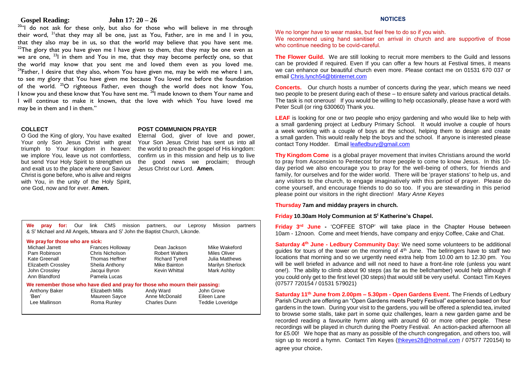#### **Gospel Reading: John 17: 20 – 26**

<sup>20"</sup>I do not ask for these only, but also for those who will believe in me through their word, <sup>21</sup> that they may all be one, just as You, Father, are in me and I in you, that they also may be in us, so that the world may believe that you have sent me.  $22$ The glory that you have given me I have given to them, that they may be one even as we are one, <sup>23</sup>I in them and You in me, that they may become perfectly one, so that the world may know that you sent me and loved them even as you loved me.  $24$ Father, I desire that they also, whom You have given me, may be with me where I am, to see my glory that You have given me because You loved me before the foundation of the world. <sup>25</sup>O righteous Father, even though the world does not know You, I know you and these know that You have sent me. <sup>26</sup>I made known to them Your name and I will continue to make it known, that the love with which You have loved me may be in them and I in them."

#### **COLLECT**

O God the King of glory, You have exalted Your only Son Jesus Christ with great we implore You, leave us not comfortless, but send Your Holy Spirit to strengthen us and exalt us to the place where our Saviour Christ is gone before, who is alive and reigns with You, in the unity of the Holy Spirit, one God, now and for ever. **Amen.**

#### **POST COMMUNION PRAYER**

triumph to Your kingdom in heaven: the world to preach the gospel of His kingdom: Eternal God, giver of love and power, Your Son Jesus Christ has sent us into all confirm us in this mission and help us to live the good news we proclaim; through Jesus Christ our Lord. **Amen.**

**We pray for:** Our link CMS mission partners, our Leprosy Mission partners & S<sup>t</sup> Michael and All Angels, Mtwara and S<sup>t</sup> John the Baptist Church, Likonde.

#### **We prayfor those who are sick:**

| Michael Jarrett<br>Pam Robinson<br>Kate Greenall<br>Elizabeth Crossley<br>John Crossley<br>Ann Blandford | <b>Frances Holloway</b><br>Chris Nicholson<br>Thomas Heffner<br>Sheila Anthony<br>Jacqui Byron<br>Pamela Lucas | Dean Jackson<br><b>Robert Walters</b><br><b>Richard Tyrrell</b><br>Mike Bainton<br>Kevin Whittal | Mike Wakeford<br>Miles Oliver<br>Julia Matthews<br>Marilyn Sherlock<br>Mark Ashby | vatur<br>guides<br>locatio<br>will be<br>one!).<br>you co |
|----------------------------------------------------------------------------------------------------------|----------------------------------------------------------------------------------------------------------------|--------------------------------------------------------------------------------------------------|-----------------------------------------------------------------------------------|-----------------------------------------------------------|
| We remember those who have died and pray for those who mourn their passing:                              |                                                                                                                |                                                                                                  |                                                                                   | (0757)                                                    |
| Anthony Baker<br>'Ben'<br>Lee Mallinson                                                                  | Elizabeth Mills<br>Maureen Sayce<br>Roma Runley                                                                | Andy Ward<br>Anne McDonald<br>Charles Dunn                                                       | John Grove<br>Eileen Lane<br>Teddie Loveridge                                     | <b>Satur</b><br>Parish                                    |

### **NOTICES**

We no longer *have* to wear masks, but feel free to do so if you wish.

We recommend using hand sanitiser on arrival in church and are supportive of those who continue needing to be covid-careful.

**The Flower Guild.** We are still looking to recruit more members to the Guild and lessons can be provided if required. Even If you can offer a few hours at Festival times, it means we can enhance our beautiful church even more. Please contact me on 01531 670 037 or email [Chris.lynch54@btinternet.com](mailto:Chris.lynch54@btinternet.com)

**Concerts.** Our church hosts a number of concerts during the year, which means we need two people to be present during each of these – to ensure safety and various practical details. The task is not onerous! If you would be willing to help occasionally, please have a word with Peter Scull (or ring 630060) Thank you.

**LEAF** is looking for one or two people who enjoy gardening and who would like to help with a small gardening project at Ledbury Primary School. It would involve a couple of hours a week working with a couple of boys at the school, helping them to design and create a small garden. This would really help the boys and the school. If anyone is interested please contact Tony Hodder. Emai[l leafledbury@gmail.com](mailto:leafledbury@gmail.com)

**Thy Kingdom Come** is a global prayer movement that invites Christians around the world to pray from Ascension to Pentecost for more people to come to know Jesus. In this 10 day period we also encourage you to pray for the well-being of others, for friends and family, for ourselves and for the wider world. There will be 'prayer stations' to help us, and any visitors to the church, to engage imaginatively with this period of prayer. Please do come yourself, and encourage friends to do so too. If you are stewarding in this period please point our visitors in the right direction! *Mary Anne Keyes*

#### **Thursday 7am and midday prayers in church.**

#### **Friday 10.30am Holy Communion at S<sup>t</sup> Katherine's Chapel.**

**Friday 3rd June -** 'COFFEE STOP' will take place in the Chapter House between 10am - 12noon. Come and meet friends, have company and enjoy Coffee, Cake and Chat.

**Saturday 4th June - Ledbury Community Day:** We need some volunteers to be additional guides for tours of the tower on the morning of  $4<sup>th</sup>$  June. The bellringers have to staff two locations that morning and so we urgently need extra help from 10.00 am to 12.30 pm. You will be well briefed in advance and will not need to have a front-line role (unless you want one!). The ability to climb about 90 steps (as far as the bellchamber) would help although if you could only get to the first level (30 steps) that would still be very useful. Contact Tim Keyes (07577 720154 / 01531 579021)

**Saturday 11th June from 2.00pm – 5.30pm - Open Gardens Event.** The Friends of Ledbury Parish Church are offering an "Open Gardens meets Poetry Festival" experience based on four gardens in the town. During your visit to the gardens, you will be offered a splendid tea, invited to browse some stalls, take part in some quiz challenges, learn a new garden game and be recorded reading a favourite hymn along with around 60 or more other people. These recordings will be played in church during the Poetry Festival. An action-packed afternoon all for £5.00! We hope that as many as possible of the church congregation, and others too, will sign up to record a hymn. Contact Tim Keyes [\(thkeyes28@hotmail.com](mailto:thkeyes28@hotmail.com) / 07577 720154) to agree your choice.